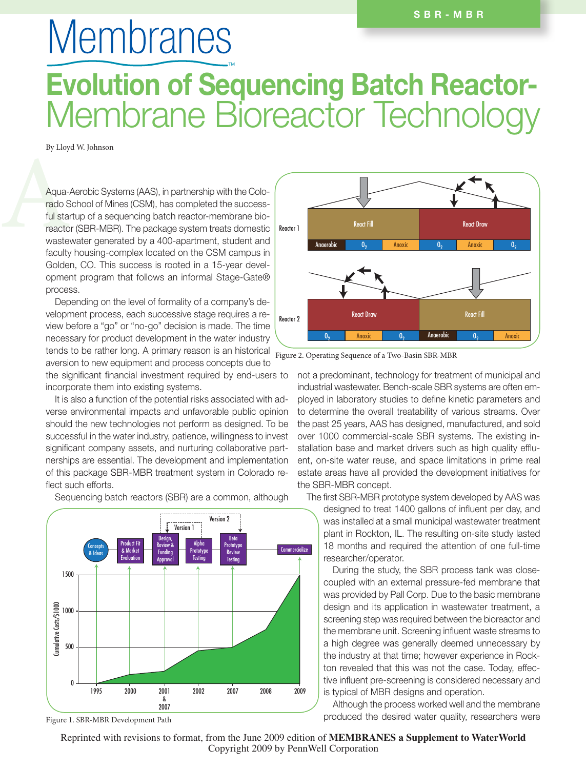## **Membranes** TMEvolution of Sequencing Batch Reactor-Membrane Bioreactor Technology

By Lloyd W. Johnson

Aqua-Aerobic Systems (AAS), in partnership with the Colo-<br>rado School of Mines (CSM), has completed the success-<br>ful startup of a sequencing batch reactor-membrane bio-<br>reactor (SBR-MBR). The package system treats domestic rado School of Mines (CSM), has completed the successful startup of a sequencing batch reactor-membrane bioreactor (SBR-MBR). The package system treats domestic wastewater generated by a 400-apartment, student and faculty housing-complex located on the CSM campus in Golden, CO. This success is rooted in a 15-year development program that follows an informal Stage-Gate® process.

> Depending on the level of formality of a company's development process, each successive stage requires a review before a "go" or "no-go" decision is made. The time necessary for product development in the water industry tends to be rather long. A primary reason is an historical aversion to new equipment and process concepts due to

the significant financial investment required by end-users to incorporate them into existing systems.

It is also a function of the potential risks associated with adverse environmental impacts and unfavorable public opinion should the new technologies not perform as designed. To be successful in the water industry, patience, willingness to invest significant company assets, and nurturing collaborative partnerships are essential. The development and implementation of this package SBR-MBR treatment system in Colorado reflect such efforts.



Sequencing batch reactors (SBR) are a common, although



Figure 2. Operating Sequence of a Two-Basin SBR-MBR

not a predominant, technology for treatment of municipal and industrial wastewater. Bench-scale SBR systems are often employed in laboratory studies to define kinetic parameters and to determine the overall treatability of various streams. Over the past 25 years, AAS has designed, manufactured, and sold over 1000 commercial-scale SBR systems. The existing installation base and market drivers such as high quality effluent, on-site water reuse, and space limitations in prime real estate areas have all provided the development initiatives for the SBR-MBR concept.

The first SBR-MBR prototype system developed by AAS was

designed to treat 1400 gallons of influent per day, and was installed at a small municipal wastewater treatment plant in Rockton, IL. The resulting on-site study lasted 18 months and required the attention of one full-time researcher/operator.

During the study, the SBR process tank was closecoupled with an external pressure-fed membrane that was provided by Pall Corp. Due to the basic membrane design and its application in wastewater treatment, a screening step was required between the bioreactor and the membrane unit. Screening influent waste streams to a high degree was generally deemed unnecessary by the industry at that time; however experience in Rockton revealed that this was not the case. Today, effective influent pre-screening is considered necessary and is typical of MBR designs and operation.

Although the process worked well and the membrane produced the desired water quality, researchers were

Figure 1. SBR-MBR Development Path

Reprinted with revisions to format, from the June 2009 edition of **MEMBRANES a Supplement to WaterWorld** Copyright 2009 by PennWell Corporation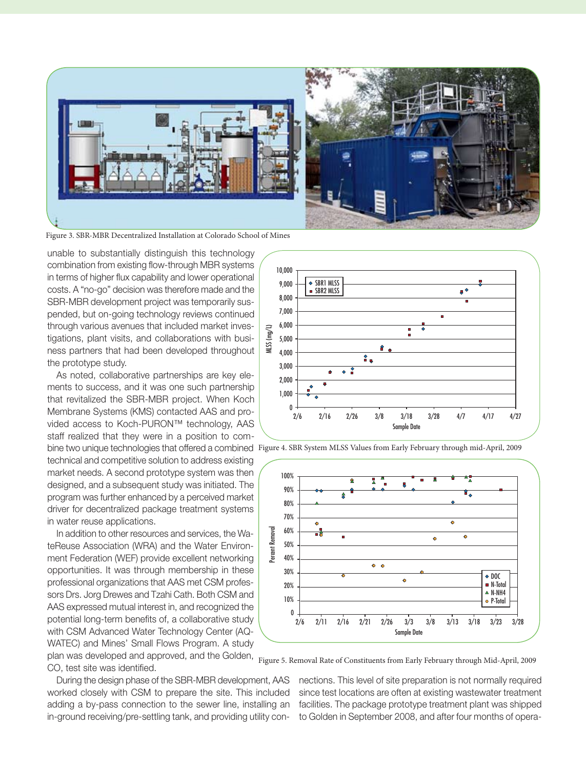

Figure 3. SBR-MBR Decentralized Installation at Colorado School of Mines

unable to substantially distinguish this technology combination from existing flow-through MBR systems in terms of higher flux capability and lower operational costs. A "no-go" decision was therefore made and the SBR-MBR development project was temporarily suspended, but on-going technology reviews continued through various avenues that included market investigations, plant visits, and collaborations with business partners that had been developed throughout the prototype study.

As noted, collaborative partnerships are key elements to success, and it was one such partnership that revitalized the SBR-MBR project. When Koch Membrane Systems (KMS) contacted AAS and provided access to Koch-PURON™ technology, AAS staff realized that they were in a position to com-

technical and competitive solution to address existing market needs. A second prototype system was then designed, and a subsequent study was initiated. The program was further enhanced by a perceived market driver for decentralized package treatment systems in water reuse applications.

In addition to other resources and services, the WateReuse Association (WRA) and the Water Environment Federation (WEF) provide excellent networking opportunities. It was through membership in these professional organizations that AAS met CSM professors Drs. Jorg Drewes and Tzahi Cath. Both CSM and AAS expressed mutual interest in, and recognized the potential long-term benefits of, a collaborative study with CSM Advanced Water Technology Center (AQ-WATEC) and Mines' Small Flows Program. A study plan was developed and approved, and the Golden,

CO, test site was identified.

During the design phase of the SBR-MBR development, AAS worked closely with CSM to prepare the site. This included adding a by-pass connection to the sewer line, installing an in-ground receiving/pre-settling tank, and providing utility con-



bine two unique technologies that offered a combined Figure 4. SBR System MLSS Values from Early February through mid-April, 2009



Figure 5. Removal Rate of Constituents from Early February through Mid-April, 2009

nections. This level of site preparation is not normally required since test locations are often at existing wastewater treatment facilities. The package prototype treatment plant was shipped to Golden in September 2008, and after four months of opera-